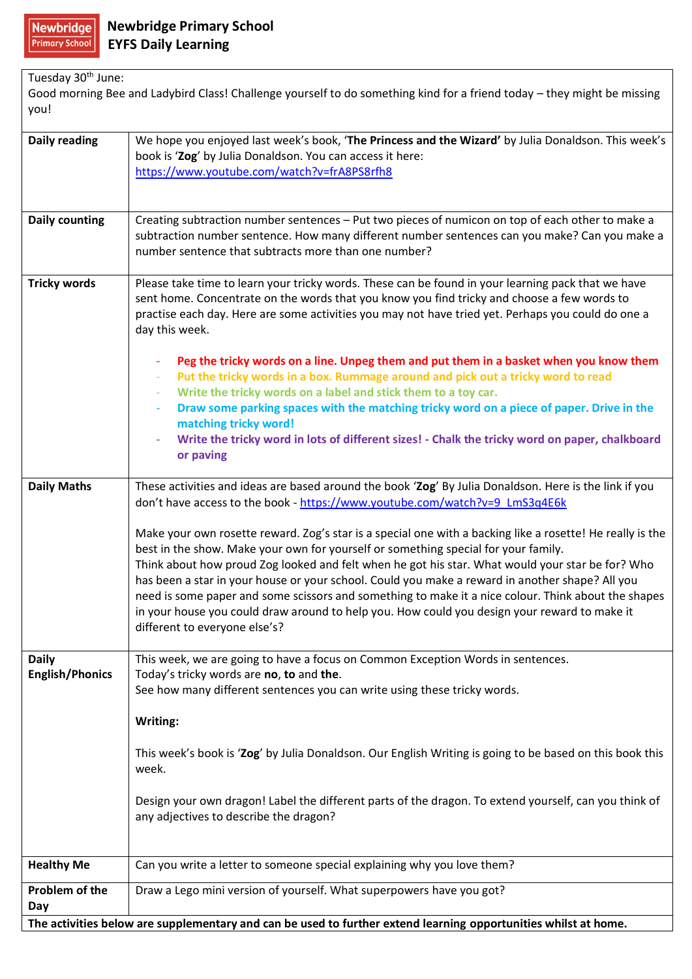| Tuesday 30 <sup>th</sup> June:<br>Good morning Bee and Ladybird Class! Challenge yourself to do something kind for a friend today - they might be missing<br>you! |                                                                                                                                                                                                                                                                                                                                                                                                                                                                                                                                                                                                                                                |  |
|-------------------------------------------------------------------------------------------------------------------------------------------------------------------|------------------------------------------------------------------------------------------------------------------------------------------------------------------------------------------------------------------------------------------------------------------------------------------------------------------------------------------------------------------------------------------------------------------------------------------------------------------------------------------------------------------------------------------------------------------------------------------------------------------------------------------------|--|
| <b>Daily reading</b>                                                                                                                                              | We hope you enjoyed last week's book, 'The Princess and the Wizard' by Julia Donaldson. This week's<br>book is 'Zog' by Julia Donaldson. You can access it here:<br>https://www.youtube.com/watch?v=frA8PS8rfh8                                                                                                                                                                                                                                                                                                                                                                                                                                |  |
| <b>Daily counting</b>                                                                                                                                             | Creating subtraction number sentences - Put two pieces of numicon on top of each other to make a<br>subtraction number sentence. How many different number sentences can you make? Can you make a<br>number sentence that subtracts more than one number?                                                                                                                                                                                                                                                                                                                                                                                      |  |
| <b>Tricky words</b>                                                                                                                                               | Please take time to learn your tricky words. These can be found in your learning pack that we have<br>sent home. Concentrate on the words that you know you find tricky and choose a few words to<br>practise each day. Here are some activities you may not have tried yet. Perhaps you could do one a<br>day this week.                                                                                                                                                                                                                                                                                                                      |  |
|                                                                                                                                                                   | Peg the tricky words on a line. Unpeg them and put them in a basket when you know them<br>$\blacksquare$<br>Put the tricky words in a box. Rummage around and pick out a tricky word to read<br>÷<br>Write the tricky words on a label and stick them to a toy car.<br>÷                                                                                                                                                                                                                                                                                                                                                                       |  |
|                                                                                                                                                                   | Draw some parking spaces with the matching tricky word on a piece of paper. Drive in the<br>÷<br>matching tricky word!<br>Write the tricky word in lots of different sizes! - Chalk the tricky word on paper, chalkboard<br>or paving                                                                                                                                                                                                                                                                                                                                                                                                          |  |
| <b>Daily Maths</b>                                                                                                                                                | These activities and ideas are based around the book 'Zog' By Julia Donaldson. Here is the link if you<br>don't have access to the book - https://www.youtube.com/watch?v=9_LmS3q4E6k                                                                                                                                                                                                                                                                                                                                                                                                                                                          |  |
|                                                                                                                                                                   | Make your own rosette reward. Zog's star is a special one with a backing like a rosette! He really is the<br>best in the show. Make your own for yourself or something special for your family.<br>Think about how proud Zog looked and felt when he got his star. What would your star be for? Who<br>has been a star in your house or your school. Could you make a reward in another shape? All you<br>need is some paper and some scissors and something to make it a nice colour. Think about the shapes<br>in your house you could draw around to help you. How could you design your reward to make it<br>different to everyone else's? |  |
| <b>Daily</b><br><b>English/Phonics</b>                                                                                                                            | This week, we are going to have a focus on Common Exception Words in sentences.<br>Today's tricky words are no, to and the.<br>See how many different sentences you can write using these tricky words.                                                                                                                                                                                                                                                                                                                                                                                                                                        |  |
|                                                                                                                                                                   | Writing:                                                                                                                                                                                                                                                                                                                                                                                                                                                                                                                                                                                                                                       |  |
|                                                                                                                                                                   | This week's book is 'Zog' by Julia Donaldson. Our English Writing is going to be based on this book this<br>week.                                                                                                                                                                                                                                                                                                                                                                                                                                                                                                                              |  |
|                                                                                                                                                                   | Design your own dragon! Label the different parts of the dragon. To extend yourself, can you think of<br>any adjectives to describe the dragon?                                                                                                                                                                                                                                                                                                                                                                                                                                                                                                |  |
| <b>Healthy Me</b>                                                                                                                                                 | Can you write a letter to someone special explaining why you love them?                                                                                                                                                                                                                                                                                                                                                                                                                                                                                                                                                                        |  |
| Problem of the<br>Day                                                                                                                                             | Draw a Lego mini version of yourself. What superpowers have you got?                                                                                                                                                                                                                                                                                                                                                                                                                                                                                                                                                                           |  |
| The activities below are supplementary and can be used to further extend learning opportunities whilst at home.                                                   |                                                                                                                                                                                                                                                                                                                                                                                                                                                                                                                                                                                                                                                |  |